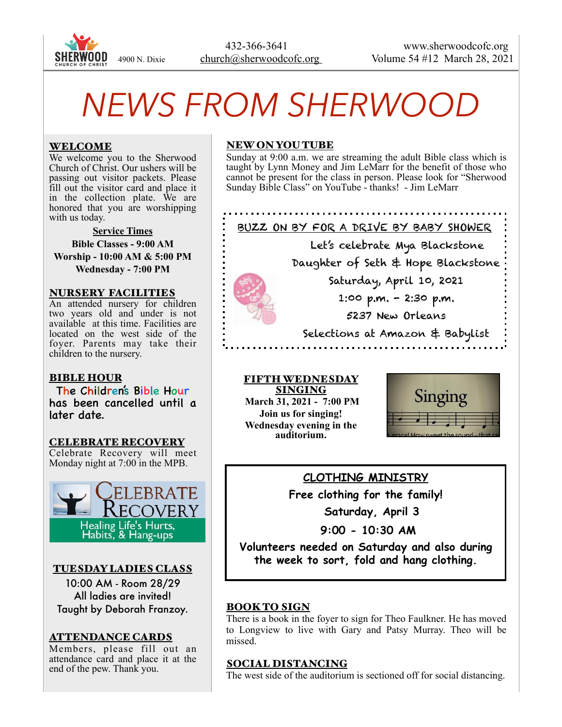

# *NEWS FROM SHERWOOD*

#### WELCOME

We welcome you to the Sherwood Church of Christ. Our ushers will be passing out visitor packets. Please fill out the visitor card and place it in the collection plate. We are honored that you are worshipping with us today.

**Service Times Bible Classes - 9:00 AM Worship - 10:00 AM & 5:00 PM Wednesday - 7:00 PM** 

#### NURSERY FACILITIES

An attended nursery for children two years old and under is not available at this time. Facilities are located on the west side of the foyer. Parents may take their children to the nursery.

#### BIBLE HOUR

The Children's Bible Hour has been cancelled until a later date.

CELEBRATE RECOVERY Celebrate Recovery will meet Monday night at 7:00 in the MPB.



## TUESDAY LADIES CLASS

10:00 AM - Room 28/29 All ladies are invited! Taught by Deborah Franzoy.

## ATTENDANCE CARDS

Members, please fill out an attendance card and place it at the end of the pew. Thank you.

## NEW ON YOU TUBE

Sunday at 9:00 a.m. we are streaming the adult Bible class which is taught by Lynn Money and Jim LeMarr for the benefit of those who cannot be present for the class in person. Please look for "Sherwood Sunday Bible Class" on YouTube - thanks! - Jim LeMarr

BUZZ ON BY FOR A DRIVE BY BABY SHOWER Let's celebrate Mya Blackstone Daughter of Seth & Hope Blackstone Saturday, April 10, 2021 1:00 p.m. - 2:30 p.m. 5237 New Orleans Selections at Amazon & Babylist

#### FIFTH WEDNESDAY SINGING

 **March 31, 2021 - 7:00 PM Join us for singing! Wednesday evening in the auditorium.**



# **CLOTHING MINISTRY**

**Free clothing for the family! Saturday, April 3** 

 **9:00 - 10:30 AM** 

**Volunteers needed on Saturday and also during the week to sort, fold and hang clothing.**

## BOOK TO SIGN

There is a book in the foyer to sign for Theo Faulkner. He has moved to Longview to live with Gary and Patsy Murray. Theo will be missed.

#### SOCIAL DISTANCING

The west side of the auditorium is sectioned off for social distancing.